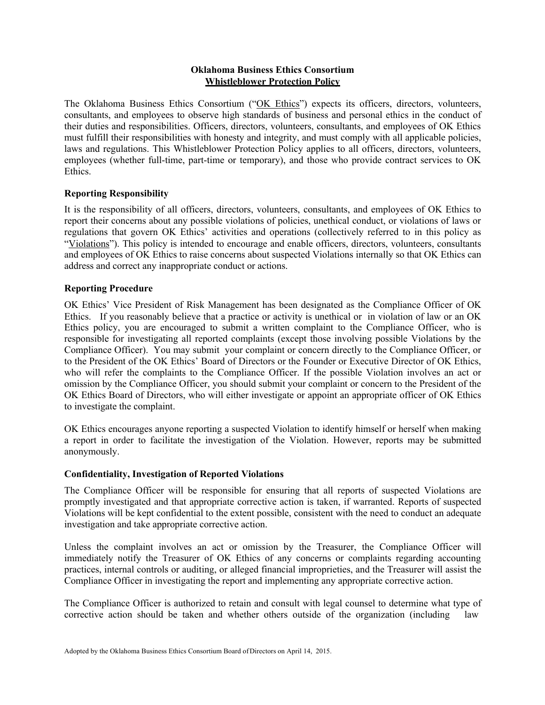# **Oklahoma Business Ethics Consortium Whistleblower Protection Policy**

The Oklahoma Business Ethics Consortium ("OK Ethics") expects its officers, directors, volunteers, consultants, and employees to observe high standards of business and personal ethics in the conduct of their duties and responsibilities. Officers, directors, volunteers, consultants, and employees of OK Ethics must fulfill their responsibilities with honesty and integrity, and must comply with all applicable policies, laws and regulations. This Whistleblower Protection Policy applies to all officers, directors, volunteers, employees (whether full-time, part-time or temporary), and those who provide contract services to OK Ethics.

# **Reporting Responsibility**

It is the responsibility of all officers, directors, volunteers, consultants, and employees of OK Ethics to report their concerns about any possible violations of policies, unethical conduct, or violations of laws or regulations that govern OK Ethics' activities and operations (collectively referred to in this policy as "Violations"). This policy is intended to encourage and enable officers, directors, volunteers, consultants and employees of OK Ethics to raise concerns about suspected Violations internally so that OK Ethics can address and correct any inappropriate conduct or actions.

### **Reporting Procedure**

OK Ethics' Vice President of Risk Management has been designated as the Compliance Officer of OK Ethics. If you reasonably believe that a practice or activity is unethical or in violation of law or an OK Ethics policy, you are encouraged to submit a written complaint to the Compliance Officer, who is responsible for investigating all reported complaints (except those involving possible Violations by the Compliance Officer). You may submit your complaint or concern directly to the Compliance Officer, or to the President of the OK Ethics' Board of Directors or the Founder or Executive Director of OK Ethics, who will refer the complaints to the Compliance Officer. If the possible Violation involves an act or omission by the Compliance Officer, you should submit your complaint or concern to the President of the OK Ethics Board of Directors, who will either investigate or appoint an appropriate officer of OK Ethics to investigate the complaint.

OK Ethics encourages anyone reporting a suspected Violation to identify himself or herself when making a report in order to facilitate the investigation of the Violation. However, reports may be submitted anonymously.

#### **Confidentiality, Investigation of Reported Violations**

The Compliance Officer will be responsible for ensuring that all reports of suspected Violations are promptly investigated and that appropriate corrective action is taken, if warranted. Reports of suspected Violations will be kept confidential to the extent possible, consistent with the need to conduct an adequate investigation and take appropriate corrective action.

Unless the complaint involves an act or omission by the Treasurer, the Compliance Officer will immediately notify the Treasurer of OK Ethics of any concerns or complaints regarding accounting practices, internal controls or auditing, or alleged financial improprieties, and the Treasurer will assist the Compliance Officer in investigating the report and implementing any appropriate corrective action.

The Compliance Officer is authorized to retain and consult with legal counsel to determine what type of corrective action should be taken and whether others outside of the organization (including law